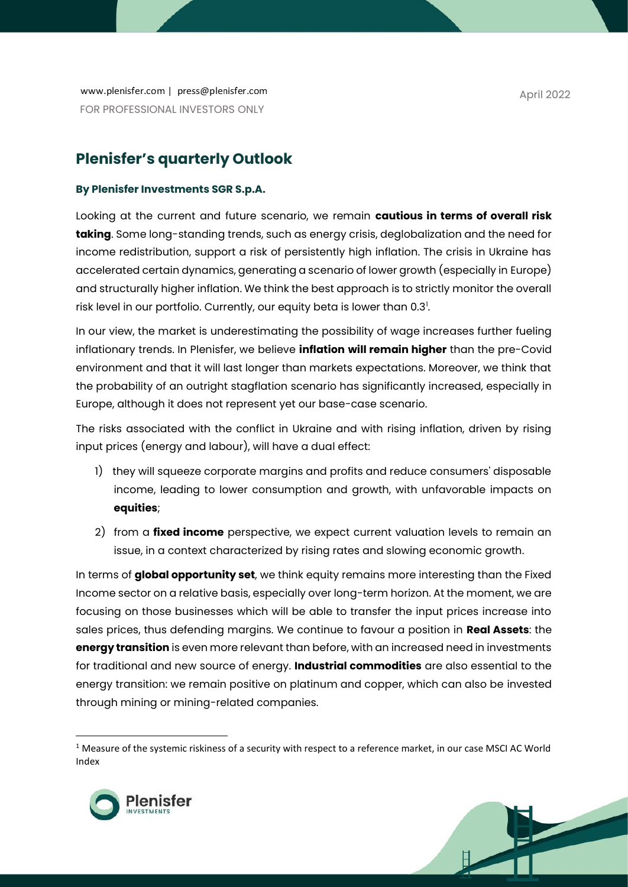www.plenisfer.com | press@plenisfer.com FOR PROFESSIONAL INVESTORS ONLY

## **Plenisfer's quarterly Outlook**

## **By Plenisfer Investments SGR S.p.A.**

Looking at the current and future scenario, we remain **cautious in terms of overall risk taking**. Some long-standing trends, such as energy crisis, deglobalization and the need for income redistribution, support a risk of persistently high inflation. The crisis in Ukraine has accelerated certain dynamics, generating a scenario of lower growth (especially in Europe) and structurally higher inflation. We think the best approach is to strictly monitor the overall risk level in our portfolio. Currently, our equity beta is lower than 0.3<sup>1</sup>.

In our view, the market is underestimating the possibility of wage increases further fueling inflationary trends. In Plenisfer, we believe **inflation will remain higher** than the pre-Covid environment and that it will last longer than markets expectations. Moreover, we think that the probability of an outright stagflation scenario has significantly increased, especially in Europe, although it does not represent yet our base-case scenario.

The risks associated with the conflict in Ukraine and with rising inflation, driven by rising input prices (energy and labour), will have a dual effect:

- 1) they will squeeze corporate margins and profits and reduce consumers' disposable income, leading to lower consumption and growth, with unfavorable impacts on **equities**;
- 2) from a **fixed income** perspective, we expect current valuation levels to remain an issue, in a context characterized by rising rates and slowing economic growth.

In terms of **global opportunity set**, we think equity remains more interesting than the Fixed Income sector on a relative basis, especially over long-term horizon. At the moment, we are focusing on those businesses which will be able to transfer the input prices increase into sales prices, thus defending margins. We continue to favour a position in **Real Assets**: the **energy transition** is even more relevant than before, with an increased need in investments for traditional and new source of energy. **Industrial commodities** are also essential to the energy transition: we remain positive on platinum and copper, which can also be invested through mining or mining-related companies.

<sup>&</sup>lt;sup>1</sup> Measure of the systemic riskiness of a security with respect to a reference market, in our case MSCI AC World Index